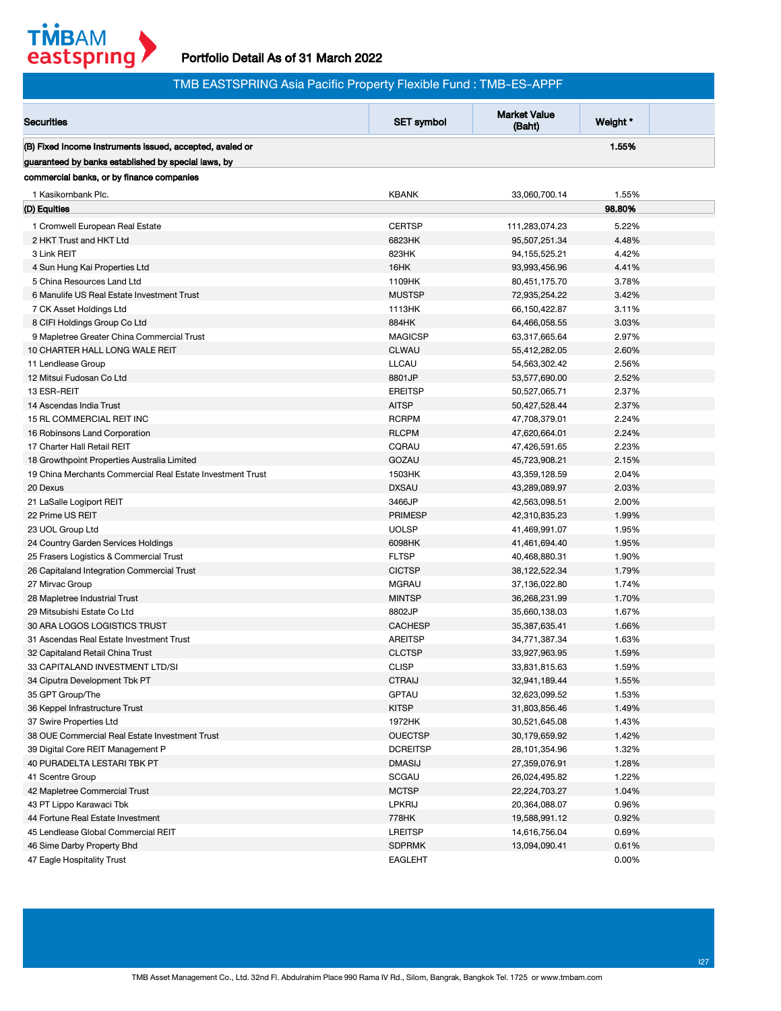

## Portfolio Detail As of 31 March 2022

| <b>Market Value</b><br><b>Securities</b><br>Weight *<br><b>SET symbol</b><br>(Baht)<br>(B) Fixed Income Instruments issued, accepted, avaied or<br>1.55%<br>guaranteed by banks established by special laws, by<br>commercial banks, or by finance companies<br><b>KBANK</b><br>1.55%<br>1 Kasikornbank Plc.<br>33,060,700.14<br>98.80%<br>(D) Equities<br><b>CERTSP</b><br>5.22%<br>111,283,074.23<br>1 Cromwell European Real Estate<br>2 HKT Trust and HKT Ltd<br>6823HK<br>95,507,251.34<br>4.48%<br>3 Link REIT<br>823HK<br>4.42%<br>94, 155, 525. 21<br>16HK<br>4.41%<br>4 Sun Hung Kai Properties Ltd<br>93,993,456.96<br>1109HK<br>3.78%<br>5 China Resources Land Ltd<br>80,451,175.70<br>3.42%<br><b>MUSTSP</b><br>6 Manulife US Real Estate Investment Trust<br>72,935,254.22<br>1113HK<br>3.11%<br>7 CK Asset Holdings Ltd<br>66,150,422.87<br>884HK<br>3.03%<br>8 CIFI Holdings Group Co Ltd<br>64,466,058.55<br><b>MAGICSP</b><br>2.97%<br>9 Mapletree Greater China Commercial Trust<br>63,317,665.64<br>10 CHARTER HALL LONG WALE REIT<br><b>CLWAU</b><br>2.60%<br>55,412,282.05<br><b>LLCAU</b><br>2.56%<br>11 Lendlease Group<br>54,563,302.42<br>8801JP<br>2.52%<br>12 Mitsui Fudosan Co Ltd<br>53,577,690.00<br>13 ESR-REIT<br><b>EREITSP</b><br>2.37%<br>50,527,065.71<br><b>AITSP</b><br>2.37%<br>14 Ascendas India Trust<br>50,427,528.44<br><b>RCRPM</b><br>2.24%<br>15 RL COMMERCIAL REIT INC<br>47,708,379.01<br><b>RLCPM</b><br>2.24%<br>16 Robinsons Land Corporation<br>47,620,664.01<br>17 Charter Hall Retail REIT<br>CQRAU<br>2.23%<br>47,426,591.65<br>GOZAU<br>2.15%<br>18 Growthpoint Properties Australia Limited<br>45,723,908.21<br>19 China Merchants Commercial Real Estate Investment Trust<br>1503HK<br>2.04%<br>43,359,128.59<br><b>DXSAU</b><br>2.03%<br>20 Dexus<br>43,289,089.97<br>3466JP<br>2.00%<br>21 LaSalle Logiport REIT<br>42,563,098.51<br><b>PRIMESP</b><br>1.99%<br>22 Prime US REIT<br>42,310,835.23<br><b>UOLSP</b><br>1.95%<br>23 UOL Group Ltd<br>41,469,991.07<br>6098HK<br>1.95%<br>24 Country Garden Services Holdings<br>41,461,694.40<br><b>FLTSP</b><br>1.90%<br>25 Frasers Logistics & Commercial Trust<br>40,468,880.31<br><b>CICTSP</b><br>1.79%<br>26 Capitaland Integration Commercial Trust<br>38, 122, 522. 34<br><b>MGRAU</b><br>1.74%<br>27 Mirvac Group<br>37,136,022.80<br>1.70%<br>28 Mapletree Industrial Trust<br><b>MINTSP</b><br>36,268,231.99<br>8802JP<br>1.67%<br>29 Mitsubishi Estate Co Ltd<br>35,660,138.03<br>1.66%<br>30 ARA LOGOS LOGISTICS TRUST<br><b>CACHESP</b><br>35,387,635.41<br><b>AREITSP</b><br>1.63%<br>31 Ascendas Real Estate Investment Trust<br>34,771,387.34<br>1.59%<br>33,927,963.95<br>32 Capitaland Retail China Trust<br><b>CLCTSP</b><br>33 CAPITALAND INVESTMENT LTD/SI<br><b>CLISP</b><br>1.59%<br>33,831,815.63<br><b>CTRAIJ</b><br>32,941,189.44<br>1.55%<br>34 Ciputra Development Tbk PT<br><b>GPTAU</b><br>1.53%<br>32,623,099.52<br>35 GPT Group/The<br><b>KITSP</b><br>1.49%<br>31,803,856.46<br>36 Keppel Infrastructure Trust<br>37 Swire Properties Ltd<br>1972HK<br>30,521,645.08<br>1.43%<br>38 OUE Commercial Real Estate Investment Trust<br><b>OUECTSP</b><br>1.42%<br>30,179,659.92<br>39 Digital Core REIT Management P<br><b>DCREITSP</b><br>1.32%<br>28,101,354.96<br>1.28%<br>40 PURADELTA LESTARI TBK PT<br><b>DMASIJ</b><br>27,359,076.91<br>SCGAU<br>1.22%<br>26,024,495.82<br>41 Scentre Group<br>42 Mapletree Commercial Trust<br><b>MCTSP</b><br>1.04%<br>22,224,703.27<br>0.96%<br>43 PT Lippo Karawaci Tbk<br>LPKRIJ<br>20,364,088.07<br>778HK<br>19,588,991.12<br>0.92%<br>44 Fortune Real Estate Investment<br>45 Lendlease Global Commercial REIT<br><b>LREITSP</b><br>0.69%<br>14,616,756.04<br><b>SDPRMK</b><br>46 Sime Darby Property Bhd<br>0.61%<br>13,094,090.41 | TMB EASTSPRING Asia Pacific Property Flexible Fund: TMB-ES-APPF |                |  |       |  |  |  |
|---------------------------------------------------------------------------------------------------------------------------------------------------------------------------------------------------------------------------------------------------------------------------------------------------------------------------------------------------------------------------------------------------------------------------------------------------------------------------------------------------------------------------------------------------------------------------------------------------------------------------------------------------------------------------------------------------------------------------------------------------------------------------------------------------------------------------------------------------------------------------------------------------------------------------------------------------------------------------------------------------------------------------------------------------------------------------------------------------------------------------------------------------------------------------------------------------------------------------------------------------------------------------------------------------------------------------------------------------------------------------------------------------------------------------------------------------------------------------------------------------------------------------------------------------------------------------------------------------------------------------------------------------------------------------------------------------------------------------------------------------------------------------------------------------------------------------------------------------------------------------------------------------------------------------------------------------------------------------------------------------------------------------------------------------------------------------------------------------------------------------------------------------------------------------------------------------------------------------------------------------------------------------------------------------------------------------------------------------------------------------------------------------------------------------------------------------------------------------------------------------------------------------------------------------------------------------------------------------------------------------------------------------------------------------------------------------------------------------------------------------------------------------------------------------------------------------------------------------------------------------------------------------------------------------------------------------------------------------------------------------------------------------------------------------------------------------------------------------------------------------------------------------------------------------------------------------------------------------------------------------------------------------------------------------------------------------------------------------------------------------------------------------------------------------------------------------------------------------------------------------------------------------------------------------------------------------------------------------------------------------------------------------------------------------------------------------------------------------------------------------------------------------------------------------------------------------|-----------------------------------------------------------------|----------------|--|-------|--|--|--|
|                                                                                                                                                                                                                                                                                                                                                                                                                                                                                                                                                                                                                                                                                                                                                                                                                                                                                                                                                                                                                                                                                                                                                                                                                                                                                                                                                                                                                                                                                                                                                                                                                                                                                                                                                                                                                                                                                                                                                                                                                                                                                                                                                                                                                                                                                                                                                                                                                                                                                                                                                                                                                                                                                                                                                                                                                                                                                                                                                                                                                                                                                                                                                                                                                                                                                                                                                                                                                                                                                                                                                                                                                                                                                                                                                                                                                           |                                                                 |                |  |       |  |  |  |
|                                                                                                                                                                                                                                                                                                                                                                                                                                                                                                                                                                                                                                                                                                                                                                                                                                                                                                                                                                                                                                                                                                                                                                                                                                                                                                                                                                                                                                                                                                                                                                                                                                                                                                                                                                                                                                                                                                                                                                                                                                                                                                                                                                                                                                                                                                                                                                                                                                                                                                                                                                                                                                                                                                                                                                                                                                                                                                                                                                                                                                                                                                                                                                                                                                                                                                                                                                                                                                                                                                                                                                                                                                                                                                                                                                                                                           |                                                                 |                |  |       |  |  |  |
|                                                                                                                                                                                                                                                                                                                                                                                                                                                                                                                                                                                                                                                                                                                                                                                                                                                                                                                                                                                                                                                                                                                                                                                                                                                                                                                                                                                                                                                                                                                                                                                                                                                                                                                                                                                                                                                                                                                                                                                                                                                                                                                                                                                                                                                                                                                                                                                                                                                                                                                                                                                                                                                                                                                                                                                                                                                                                                                                                                                                                                                                                                                                                                                                                                                                                                                                                                                                                                                                                                                                                                                                                                                                                                                                                                                                                           |                                                                 |                |  |       |  |  |  |
|                                                                                                                                                                                                                                                                                                                                                                                                                                                                                                                                                                                                                                                                                                                                                                                                                                                                                                                                                                                                                                                                                                                                                                                                                                                                                                                                                                                                                                                                                                                                                                                                                                                                                                                                                                                                                                                                                                                                                                                                                                                                                                                                                                                                                                                                                                                                                                                                                                                                                                                                                                                                                                                                                                                                                                                                                                                                                                                                                                                                                                                                                                                                                                                                                                                                                                                                                                                                                                                                                                                                                                                                                                                                                                                                                                                                                           |                                                                 |                |  |       |  |  |  |
|                                                                                                                                                                                                                                                                                                                                                                                                                                                                                                                                                                                                                                                                                                                                                                                                                                                                                                                                                                                                                                                                                                                                                                                                                                                                                                                                                                                                                                                                                                                                                                                                                                                                                                                                                                                                                                                                                                                                                                                                                                                                                                                                                                                                                                                                                                                                                                                                                                                                                                                                                                                                                                                                                                                                                                                                                                                                                                                                                                                                                                                                                                                                                                                                                                                                                                                                                                                                                                                                                                                                                                                                                                                                                                                                                                                                                           |                                                                 |                |  |       |  |  |  |
|                                                                                                                                                                                                                                                                                                                                                                                                                                                                                                                                                                                                                                                                                                                                                                                                                                                                                                                                                                                                                                                                                                                                                                                                                                                                                                                                                                                                                                                                                                                                                                                                                                                                                                                                                                                                                                                                                                                                                                                                                                                                                                                                                                                                                                                                                                                                                                                                                                                                                                                                                                                                                                                                                                                                                                                                                                                                                                                                                                                                                                                                                                                                                                                                                                                                                                                                                                                                                                                                                                                                                                                                                                                                                                                                                                                                                           |                                                                 |                |  |       |  |  |  |
|                                                                                                                                                                                                                                                                                                                                                                                                                                                                                                                                                                                                                                                                                                                                                                                                                                                                                                                                                                                                                                                                                                                                                                                                                                                                                                                                                                                                                                                                                                                                                                                                                                                                                                                                                                                                                                                                                                                                                                                                                                                                                                                                                                                                                                                                                                                                                                                                                                                                                                                                                                                                                                                                                                                                                                                                                                                                                                                                                                                                                                                                                                                                                                                                                                                                                                                                                                                                                                                                                                                                                                                                                                                                                                                                                                                                                           |                                                                 |                |  |       |  |  |  |
|                                                                                                                                                                                                                                                                                                                                                                                                                                                                                                                                                                                                                                                                                                                                                                                                                                                                                                                                                                                                                                                                                                                                                                                                                                                                                                                                                                                                                                                                                                                                                                                                                                                                                                                                                                                                                                                                                                                                                                                                                                                                                                                                                                                                                                                                                                                                                                                                                                                                                                                                                                                                                                                                                                                                                                                                                                                                                                                                                                                                                                                                                                                                                                                                                                                                                                                                                                                                                                                                                                                                                                                                                                                                                                                                                                                                                           |                                                                 |                |  |       |  |  |  |
|                                                                                                                                                                                                                                                                                                                                                                                                                                                                                                                                                                                                                                                                                                                                                                                                                                                                                                                                                                                                                                                                                                                                                                                                                                                                                                                                                                                                                                                                                                                                                                                                                                                                                                                                                                                                                                                                                                                                                                                                                                                                                                                                                                                                                                                                                                                                                                                                                                                                                                                                                                                                                                                                                                                                                                                                                                                                                                                                                                                                                                                                                                                                                                                                                                                                                                                                                                                                                                                                                                                                                                                                                                                                                                                                                                                                                           |                                                                 |                |  |       |  |  |  |
|                                                                                                                                                                                                                                                                                                                                                                                                                                                                                                                                                                                                                                                                                                                                                                                                                                                                                                                                                                                                                                                                                                                                                                                                                                                                                                                                                                                                                                                                                                                                                                                                                                                                                                                                                                                                                                                                                                                                                                                                                                                                                                                                                                                                                                                                                                                                                                                                                                                                                                                                                                                                                                                                                                                                                                                                                                                                                                                                                                                                                                                                                                                                                                                                                                                                                                                                                                                                                                                                                                                                                                                                                                                                                                                                                                                                                           |                                                                 |                |  |       |  |  |  |
|                                                                                                                                                                                                                                                                                                                                                                                                                                                                                                                                                                                                                                                                                                                                                                                                                                                                                                                                                                                                                                                                                                                                                                                                                                                                                                                                                                                                                                                                                                                                                                                                                                                                                                                                                                                                                                                                                                                                                                                                                                                                                                                                                                                                                                                                                                                                                                                                                                                                                                                                                                                                                                                                                                                                                                                                                                                                                                                                                                                                                                                                                                                                                                                                                                                                                                                                                                                                                                                                                                                                                                                                                                                                                                                                                                                                                           |                                                                 |                |  |       |  |  |  |
|                                                                                                                                                                                                                                                                                                                                                                                                                                                                                                                                                                                                                                                                                                                                                                                                                                                                                                                                                                                                                                                                                                                                                                                                                                                                                                                                                                                                                                                                                                                                                                                                                                                                                                                                                                                                                                                                                                                                                                                                                                                                                                                                                                                                                                                                                                                                                                                                                                                                                                                                                                                                                                                                                                                                                                                                                                                                                                                                                                                                                                                                                                                                                                                                                                                                                                                                                                                                                                                                                                                                                                                                                                                                                                                                                                                                                           |                                                                 |                |  |       |  |  |  |
|                                                                                                                                                                                                                                                                                                                                                                                                                                                                                                                                                                                                                                                                                                                                                                                                                                                                                                                                                                                                                                                                                                                                                                                                                                                                                                                                                                                                                                                                                                                                                                                                                                                                                                                                                                                                                                                                                                                                                                                                                                                                                                                                                                                                                                                                                                                                                                                                                                                                                                                                                                                                                                                                                                                                                                                                                                                                                                                                                                                                                                                                                                                                                                                                                                                                                                                                                                                                                                                                                                                                                                                                                                                                                                                                                                                                                           |                                                                 |                |  |       |  |  |  |
|                                                                                                                                                                                                                                                                                                                                                                                                                                                                                                                                                                                                                                                                                                                                                                                                                                                                                                                                                                                                                                                                                                                                                                                                                                                                                                                                                                                                                                                                                                                                                                                                                                                                                                                                                                                                                                                                                                                                                                                                                                                                                                                                                                                                                                                                                                                                                                                                                                                                                                                                                                                                                                                                                                                                                                                                                                                                                                                                                                                                                                                                                                                                                                                                                                                                                                                                                                                                                                                                                                                                                                                                                                                                                                                                                                                                                           |                                                                 |                |  |       |  |  |  |
|                                                                                                                                                                                                                                                                                                                                                                                                                                                                                                                                                                                                                                                                                                                                                                                                                                                                                                                                                                                                                                                                                                                                                                                                                                                                                                                                                                                                                                                                                                                                                                                                                                                                                                                                                                                                                                                                                                                                                                                                                                                                                                                                                                                                                                                                                                                                                                                                                                                                                                                                                                                                                                                                                                                                                                                                                                                                                                                                                                                                                                                                                                                                                                                                                                                                                                                                                                                                                                                                                                                                                                                                                                                                                                                                                                                                                           |                                                                 |                |  |       |  |  |  |
|                                                                                                                                                                                                                                                                                                                                                                                                                                                                                                                                                                                                                                                                                                                                                                                                                                                                                                                                                                                                                                                                                                                                                                                                                                                                                                                                                                                                                                                                                                                                                                                                                                                                                                                                                                                                                                                                                                                                                                                                                                                                                                                                                                                                                                                                                                                                                                                                                                                                                                                                                                                                                                                                                                                                                                                                                                                                                                                                                                                                                                                                                                                                                                                                                                                                                                                                                                                                                                                                                                                                                                                                                                                                                                                                                                                                                           |                                                                 |                |  |       |  |  |  |
|                                                                                                                                                                                                                                                                                                                                                                                                                                                                                                                                                                                                                                                                                                                                                                                                                                                                                                                                                                                                                                                                                                                                                                                                                                                                                                                                                                                                                                                                                                                                                                                                                                                                                                                                                                                                                                                                                                                                                                                                                                                                                                                                                                                                                                                                                                                                                                                                                                                                                                                                                                                                                                                                                                                                                                                                                                                                                                                                                                                                                                                                                                                                                                                                                                                                                                                                                                                                                                                                                                                                                                                                                                                                                                                                                                                                                           |                                                                 |                |  |       |  |  |  |
|                                                                                                                                                                                                                                                                                                                                                                                                                                                                                                                                                                                                                                                                                                                                                                                                                                                                                                                                                                                                                                                                                                                                                                                                                                                                                                                                                                                                                                                                                                                                                                                                                                                                                                                                                                                                                                                                                                                                                                                                                                                                                                                                                                                                                                                                                                                                                                                                                                                                                                                                                                                                                                                                                                                                                                                                                                                                                                                                                                                                                                                                                                                                                                                                                                                                                                                                                                                                                                                                                                                                                                                                                                                                                                                                                                                                                           |                                                                 |                |  |       |  |  |  |
|                                                                                                                                                                                                                                                                                                                                                                                                                                                                                                                                                                                                                                                                                                                                                                                                                                                                                                                                                                                                                                                                                                                                                                                                                                                                                                                                                                                                                                                                                                                                                                                                                                                                                                                                                                                                                                                                                                                                                                                                                                                                                                                                                                                                                                                                                                                                                                                                                                                                                                                                                                                                                                                                                                                                                                                                                                                                                                                                                                                                                                                                                                                                                                                                                                                                                                                                                                                                                                                                                                                                                                                                                                                                                                                                                                                                                           |                                                                 |                |  |       |  |  |  |
|                                                                                                                                                                                                                                                                                                                                                                                                                                                                                                                                                                                                                                                                                                                                                                                                                                                                                                                                                                                                                                                                                                                                                                                                                                                                                                                                                                                                                                                                                                                                                                                                                                                                                                                                                                                                                                                                                                                                                                                                                                                                                                                                                                                                                                                                                                                                                                                                                                                                                                                                                                                                                                                                                                                                                                                                                                                                                                                                                                                                                                                                                                                                                                                                                                                                                                                                                                                                                                                                                                                                                                                                                                                                                                                                                                                                                           |                                                                 |                |  |       |  |  |  |
|                                                                                                                                                                                                                                                                                                                                                                                                                                                                                                                                                                                                                                                                                                                                                                                                                                                                                                                                                                                                                                                                                                                                                                                                                                                                                                                                                                                                                                                                                                                                                                                                                                                                                                                                                                                                                                                                                                                                                                                                                                                                                                                                                                                                                                                                                                                                                                                                                                                                                                                                                                                                                                                                                                                                                                                                                                                                                                                                                                                                                                                                                                                                                                                                                                                                                                                                                                                                                                                                                                                                                                                                                                                                                                                                                                                                                           |                                                                 |                |  |       |  |  |  |
|                                                                                                                                                                                                                                                                                                                                                                                                                                                                                                                                                                                                                                                                                                                                                                                                                                                                                                                                                                                                                                                                                                                                                                                                                                                                                                                                                                                                                                                                                                                                                                                                                                                                                                                                                                                                                                                                                                                                                                                                                                                                                                                                                                                                                                                                                                                                                                                                                                                                                                                                                                                                                                                                                                                                                                                                                                                                                                                                                                                                                                                                                                                                                                                                                                                                                                                                                                                                                                                                                                                                                                                                                                                                                                                                                                                                                           |                                                                 |                |  |       |  |  |  |
|                                                                                                                                                                                                                                                                                                                                                                                                                                                                                                                                                                                                                                                                                                                                                                                                                                                                                                                                                                                                                                                                                                                                                                                                                                                                                                                                                                                                                                                                                                                                                                                                                                                                                                                                                                                                                                                                                                                                                                                                                                                                                                                                                                                                                                                                                                                                                                                                                                                                                                                                                                                                                                                                                                                                                                                                                                                                                                                                                                                                                                                                                                                                                                                                                                                                                                                                                                                                                                                                                                                                                                                                                                                                                                                                                                                                                           |                                                                 |                |  |       |  |  |  |
|                                                                                                                                                                                                                                                                                                                                                                                                                                                                                                                                                                                                                                                                                                                                                                                                                                                                                                                                                                                                                                                                                                                                                                                                                                                                                                                                                                                                                                                                                                                                                                                                                                                                                                                                                                                                                                                                                                                                                                                                                                                                                                                                                                                                                                                                                                                                                                                                                                                                                                                                                                                                                                                                                                                                                                                                                                                                                                                                                                                                                                                                                                                                                                                                                                                                                                                                                                                                                                                                                                                                                                                                                                                                                                                                                                                                                           |                                                                 |                |  |       |  |  |  |
|                                                                                                                                                                                                                                                                                                                                                                                                                                                                                                                                                                                                                                                                                                                                                                                                                                                                                                                                                                                                                                                                                                                                                                                                                                                                                                                                                                                                                                                                                                                                                                                                                                                                                                                                                                                                                                                                                                                                                                                                                                                                                                                                                                                                                                                                                                                                                                                                                                                                                                                                                                                                                                                                                                                                                                                                                                                                                                                                                                                                                                                                                                                                                                                                                                                                                                                                                                                                                                                                                                                                                                                                                                                                                                                                                                                                                           |                                                                 |                |  |       |  |  |  |
|                                                                                                                                                                                                                                                                                                                                                                                                                                                                                                                                                                                                                                                                                                                                                                                                                                                                                                                                                                                                                                                                                                                                                                                                                                                                                                                                                                                                                                                                                                                                                                                                                                                                                                                                                                                                                                                                                                                                                                                                                                                                                                                                                                                                                                                                                                                                                                                                                                                                                                                                                                                                                                                                                                                                                                                                                                                                                                                                                                                                                                                                                                                                                                                                                                                                                                                                                                                                                                                                                                                                                                                                                                                                                                                                                                                                                           |                                                                 |                |  |       |  |  |  |
|                                                                                                                                                                                                                                                                                                                                                                                                                                                                                                                                                                                                                                                                                                                                                                                                                                                                                                                                                                                                                                                                                                                                                                                                                                                                                                                                                                                                                                                                                                                                                                                                                                                                                                                                                                                                                                                                                                                                                                                                                                                                                                                                                                                                                                                                                                                                                                                                                                                                                                                                                                                                                                                                                                                                                                                                                                                                                                                                                                                                                                                                                                                                                                                                                                                                                                                                                                                                                                                                                                                                                                                                                                                                                                                                                                                                                           |                                                                 |                |  |       |  |  |  |
|                                                                                                                                                                                                                                                                                                                                                                                                                                                                                                                                                                                                                                                                                                                                                                                                                                                                                                                                                                                                                                                                                                                                                                                                                                                                                                                                                                                                                                                                                                                                                                                                                                                                                                                                                                                                                                                                                                                                                                                                                                                                                                                                                                                                                                                                                                                                                                                                                                                                                                                                                                                                                                                                                                                                                                                                                                                                                                                                                                                                                                                                                                                                                                                                                                                                                                                                                                                                                                                                                                                                                                                                                                                                                                                                                                                                                           |                                                                 |                |  |       |  |  |  |
|                                                                                                                                                                                                                                                                                                                                                                                                                                                                                                                                                                                                                                                                                                                                                                                                                                                                                                                                                                                                                                                                                                                                                                                                                                                                                                                                                                                                                                                                                                                                                                                                                                                                                                                                                                                                                                                                                                                                                                                                                                                                                                                                                                                                                                                                                                                                                                                                                                                                                                                                                                                                                                                                                                                                                                                                                                                                                                                                                                                                                                                                                                                                                                                                                                                                                                                                                                                                                                                                                                                                                                                                                                                                                                                                                                                                                           |                                                                 |                |  |       |  |  |  |
|                                                                                                                                                                                                                                                                                                                                                                                                                                                                                                                                                                                                                                                                                                                                                                                                                                                                                                                                                                                                                                                                                                                                                                                                                                                                                                                                                                                                                                                                                                                                                                                                                                                                                                                                                                                                                                                                                                                                                                                                                                                                                                                                                                                                                                                                                                                                                                                                                                                                                                                                                                                                                                                                                                                                                                                                                                                                                                                                                                                                                                                                                                                                                                                                                                                                                                                                                                                                                                                                                                                                                                                                                                                                                                                                                                                                                           |                                                                 |                |  |       |  |  |  |
|                                                                                                                                                                                                                                                                                                                                                                                                                                                                                                                                                                                                                                                                                                                                                                                                                                                                                                                                                                                                                                                                                                                                                                                                                                                                                                                                                                                                                                                                                                                                                                                                                                                                                                                                                                                                                                                                                                                                                                                                                                                                                                                                                                                                                                                                                                                                                                                                                                                                                                                                                                                                                                                                                                                                                                                                                                                                                                                                                                                                                                                                                                                                                                                                                                                                                                                                                                                                                                                                                                                                                                                                                                                                                                                                                                                                                           |                                                                 |                |  |       |  |  |  |
|                                                                                                                                                                                                                                                                                                                                                                                                                                                                                                                                                                                                                                                                                                                                                                                                                                                                                                                                                                                                                                                                                                                                                                                                                                                                                                                                                                                                                                                                                                                                                                                                                                                                                                                                                                                                                                                                                                                                                                                                                                                                                                                                                                                                                                                                                                                                                                                                                                                                                                                                                                                                                                                                                                                                                                                                                                                                                                                                                                                                                                                                                                                                                                                                                                                                                                                                                                                                                                                                                                                                                                                                                                                                                                                                                                                                                           |                                                                 |                |  |       |  |  |  |
|                                                                                                                                                                                                                                                                                                                                                                                                                                                                                                                                                                                                                                                                                                                                                                                                                                                                                                                                                                                                                                                                                                                                                                                                                                                                                                                                                                                                                                                                                                                                                                                                                                                                                                                                                                                                                                                                                                                                                                                                                                                                                                                                                                                                                                                                                                                                                                                                                                                                                                                                                                                                                                                                                                                                                                                                                                                                                                                                                                                                                                                                                                                                                                                                                                                                                                                                                                                                                                                                                                                                                                                                                                                                                                                                                                                                                           |                                                                 |                |  |       |  |  |  |
|                                                                                                                                                                                                                                                                                                                                                                                                                                                                                                                                                                                                                                                                                                                                                                                                                                                                                                                                                                                                                                                                                                                                                                                                                                                                                                                                                                                                                                                                                                                                                                                                                                                                                                                                                                                                                                                                                                                                                                                                                                                                                                                                                                                                                                                                                                                                                                                                                                                                                                                                                                                                                                                                                                                                                                                                                                                                                                                                                                                                                                                                                                                                                                                                                                                                                                                                                                                                                                                                                                                                                                                                                                                                                                                                                                                                                           |                                                                 |                |  |       |  |  |  |
|                                                                                                                                                                                                                                                                                                                                                                                                                                                                                                                                                                                                                                                                                                                                                                                                                                                                                                                                                                                                                                                                                                                                                                                                                                                                                                                                                                                                                                                                                                                                                                                                                                                                                                                                                                                                                                                                                                                                                                                                                                                                                                                                                                                                                                                                                                                                                                                                                                                                                                                                                                                                                                                                                                                                                                                                                                                                                                                                                                                                                                                                                                                                                                                                                                                                                                                                                                                                                                                                                                                                                                                                                                                                                                                                                                                                                           |                                                                 |                |  |       |  |  |  |
|                                                                                                                                                                                                                                                                                                                                                                                                                                                                                                                                                                                                                                                                                                                                                                                                                                                                                                                                                                                                                                                                                                                                                                                                                                                                                                                                                                                                                                                                                                                                                                                                                                                                                                                                                                                                                                                                                                                                                                                                                                                                                                                                                                                                                                                                                                                                                                                                                                                                                                                                                                                                                                                                                                                                                                                                                                                                                                                                                                                                                                                                                                                                                                                                                                                                                                                                                                                                                                                                                                                                                                                                                                                                                                                                                                                                                           |                                                                 |                |  |       |  |  |  |
|                                                                                                                                                                                                                                                                                                                                                                                                                                                                                                                                                                                                                                                                                                                                                                                                                                                                                                                                                                                                                                                                                                                                                                                                                                                                                                                                                                                                                                                                                                                                                                                                                                                                                                                                                                                                                                                                                                                                                                                                                                                                                                                                                                                                                                                                                                                                                                                                                                                                                                                                                                                                                                                                                                                                                                                                                                                                                                                                                                                                                                                                                                                                                                                                                                                                                                                                                                                                                                                                                                                                                                                                                                                                                                                                                                                                                           |                                                                 |                |  |       |  |  |  |
|                                                                                                                                                                                                                                                                                                                                                                                                                                                                                                                                                                                                                                                                                                                                                                                                                                                                                                                                                                                                                                                                                                                                                                                                                                                                                                                                                                                                                                                                                                                                                                                                                                                                                                                                                                                                                                                                                                                                                                                                                                                                                                                                                                                                                                                                                                                                                                                                                                                                                                                                                                                                                                                                                                                                                                                                                                                                                                                                                                                                                                                                                                                                                                                                                                                                                                                                                                                                                                                                                                                                                                                                                                                                                                                                                                                                                           |                                                                 |                |  |       |  |  |  |
|                                                                                                                                                                                                                                                                                                                                                                                                                                                                                                                                                                                                                                                                                                                                                                                                                                                                                                                                                                                                                                                                                                                                                                                                                                                                                                                                                                                                                                                                                                                                                                                                                                                                                                                                                                                                                                                                                                                                                                                                                                                                                                                                                                                                                                                                                                                                                                                                                                                                                                                                                                                                                                                                                                                                                                                                                                                                                                                                                                                                                                                                                                                                                                                                                                                                                                                                                                                                                                                                                                                                                                                                                                                                                                                                                                                                                           |                                                                 |                |  |       |  |  |  |
|                                                                                                                                                                                                                                                                                                                                                                                                                                                                                                                                                                                                                                                                                                                                                                                                                                                                                                                                                                                                                                                                                                                                                                                                                                                                                                                                                                                                                                                                                                                                                                                                                                                                                                                                                                                                                                                                                                                                                                                                                                                                                                                                                                                                                                                                                                                                                                                                                                                                                                                                                                                                                                                                                                                                                                                                                                                                                                                                                                                                                                                                                                                                                                                                                                                                                                                                                                                                                                                                                                                                                                                                                                                                                                                                                                                                                           |                                                                 |                |  |       |  |  |  |
|                                                                                                                                                                                                                                                                                                                                                                                                                                                                                                                                                                                                                                                                                                                                                                                                                                                                                                                                                                                                                                                                                                                                                                                                                                                                                                                                                                                                                                                                                                                                                                                                                                                                                                                                                                                                                                                                                                                                                                                                                                                                                                                                                                                                                                                                                                                                                                                                                                                                                                                                                                                                                                                                                                                                                                                                                                                                                                                                                                                                                                                                                                                                                                                                                                                                                                                                                                                                                                                                                                                                                                                                                                                                                                                                                                                                                           |                                                                 |                |  |       |  |  |  |
|                                                                                                                                                                                                                                                                                                                                                                                                                                                                                                                                                                                                                                                                                                                                                                                                                                                                                                                                                                                                                                                                                                                                                                                                                                                                                                                                                                                                                                                                                                                                                                                                                                                                                                                                                                                                                                                                                                                                                                                                                                                                                                                                                                                                                                                                                                                                                                                                                                                                                                                                                                                                                                                                                                                                                                                                                                                                                                                                                                                                                                                                                                                                                                                                                                                                                                                                                                                                                                                                                                                                                                                                                                                                                                                                                                                                                           |                                                                 |                |  |       |  |  |  |
|                                                                                                                                                                                                                                                                                                                                                                                                                                                                                                                                                                                                                                                                                                                                                                                                                                                                                                                                                                                                                                                                                                                                                                                                                                                                                                                                                                                                                                                                                                                                                                                                                                                                                                                                                                                                                                                                                                                                                                                                                                                                                                                                                                                                                                                                                                                                                                                                                                                                                                                                                                                                                                                                                                                                                                                                                                                                                                                                                                                                                                                                                                                                                                                                                                                                                                                                                                                                                                                                                                                                                                                                                                                                                                                                                                                                                           |                                                                 |                |  |       |  |  |  |
|                                                                                                                                                                                                                                                                                                                                                                                                                                                                                                                                                                                                                                                                                                                                                                                                                                                                                                                                                                                                                                                                                                                                                                                                                                                                                                                                                                                                                                                                                                                                                                                                                                                                                                                                                                                                                                                                                                                                                                                                                                                                                                                                                                                                                                                                                                                                                                                                                                                                                                                                                                                                                                                                                                                                                                                                                                                                                                                                                                                                                                                                                                                                                                                                                                                                                                                                                                                                                                                                                                                                                                                                                                                                                                                                                                                                                           |                                                                 |                |  |       |  |  |  |
|                                                                                                                                                                                                                                                                                                                                                                                                                                                                                                                                                                                                                                                                                                                                                                                                                                                                                                                                                                                                                                                                                                                                                                                                                                                                                                                                                                                                                                                                                                                                                                                                                                                                                                                                                                                                                                                                                                                                                                                                                                                                                                                                                                                                                                                                                                                                                                                                                                                                                                                                                                                                                                                                                                                                                                                                                                                                                                                                                                                                                                                                                                                                                                                                                                                                                                                                                                                                                                                                                                                                                                                                                                                                                                                                                                                                                           |                                                                 |                |  |       |  |  |  |
|                                                                                                                                                                                                                                                                                                                                                                                                                                                                                                                                                                                                                                                                                                                                                                                                                                                                                                                                                                                                                                                                                                                                                                                                                                                                                                                                                                                                                                                                                                                                                                                                                                                                                                                                                                                                                                                                                                                                                                                                                                                                                                                                                                                                                                                                                                                                                                                                                                                                                                                                                                                                                                                                                                                                                                                                                                                                                                                                                                                                                                                                                                                                                                                                                                                                                                                                                                                                                                                                                                                                                                                                                                                                                                                                                                                                                           |                                                                 |                |  |       |  |  |  |
|                                                                                                                                                                                                                                                                                                                                                                                                                                                                                                                                                                                                                                                                                                                                                                                                                                                                                                                                                                                                                                                                                                                                                                                                                                                                                                                                                                                                                                                                                                                                                                                                                                                                                                                                                                                                                                                                                                                                                                                                                                                                                                                                                                                                                                                                                                                                                                                                                                                                                                                                                                                                                                                                                                                                                                                                                                                                                                                                                                                                                                                                                                                                                                                                                                                                                                                                                                                                                                                                                                                                                                                                                                                                                                                                                                                                                           |                                                                 |                |  |       |  |  |  |
|                                                                                                                                                                                                                                                                                                                                                                                                                                                                                                                                                                                                                                                                                                                                                                                                                                                                                                                                                                                                                                                                                                                                                                                                                                                                                                                                                                                                                                                                                                                                                                                                                                                                                                                                                                                                                                                                                                                                                                                                                                                                                                                                                                                                                                                                                                                                                                                                                                                                                                                                                                                                                                                                                                                                                                                                                                                                                                                                                                                                                                                                                                                                                                                                                                                                                                                                                                                                                                                                                                                                                                                                                                                                                                                                                                                                                           |                                                                 |                |  |       |  |  |  |
|                                                                                                                                                                                                                                                                                                                                                                                                                                                                                                                                                                                                                                                                                                                                                                                                                                                                                                                                                                                                                                                                                                                                                                                                                                                                                                                                                                                                                                                                                                                                                                                                                                                                                                                                                                                                                                                                                                                                                                                                                                                                                                                                                                                                                                                                                                                                                                                                                                                                                                                                                                                                                                                                                                                                                                                                                                                                                                                                                                                                                                                                                                                                                                                                                                                                                                                                                                                                                                                                                                                                                                                                                                                                                                                                                                                                                           |                                                                 |                |  |       |  |  |  |
|                                                                                                                                                                                                                                                                                                                                                                                                                                                                                                                                                                                                                                                                                                                                                                                                                                                                                                                                                                                                                                                                                                                                                                                                                                                                                                                                                                                                                                                                                                                                                                                                                                                                                                                                                                                                                                                                                                                                                                                                                                                                                                                                                                                                                                                                                                                                                                                                                                                                                                                                                                                                                                                                                                                                                                                                                                                                                                                                                                                                                                                                                                                                                                                                                                                                                                                                                                                                                                                                                                                                                                                                                                                                                                                                                                                                                           |                                                                 |                |  |       |  |  |  |
|                                                                                                                                                                                                                                                                                                                                                                                                                                                                                                                                                                                                                                                                                                                                                                                                                                                                                                                                                                                                                                                                                                                                                                                                                                                                                                                                                                                                                                                                                                                                                                                                                                                                                                                                                                                                                                                                                                                                                                                                                                                                                                                                                                                                                                                                                                                                                                                                                                                                                                                                                                                                                                                                                                                                                                                                                                                                                                                                                                                                                                                                                                                                                                                                                                                                                                                                                                                                                                                                                                                                                                                                                                                                                                                                                                                                                           |                                                                 |                |  |       |  |  |  |
|                                                                                                                                                                                                                                                                                                                                                                                                                                                                                                                                                                                                                                                                                                                                                                                                                                                                                                                                                                                                                                                                                                                                                                                                                                                                                                                                                                                                                                                                                                                                                                                                                                                                                                                                                                                                                                                                                                                                                                                                                                                                                                                                                                                                                                                                                                                                                                                                                                                                                                                                                                                                                                                                                                                                                                                                                                                                                                                                                                                                                                                                                                                                                                                                                                                                                                                                                                                                                                                                                                                                                                                                                                                                                                                                                                                                                           | 47 Eagle Hospitality Trust                                      | <b>EAGLEHT</b> |  | 0.00% |  |  |  |